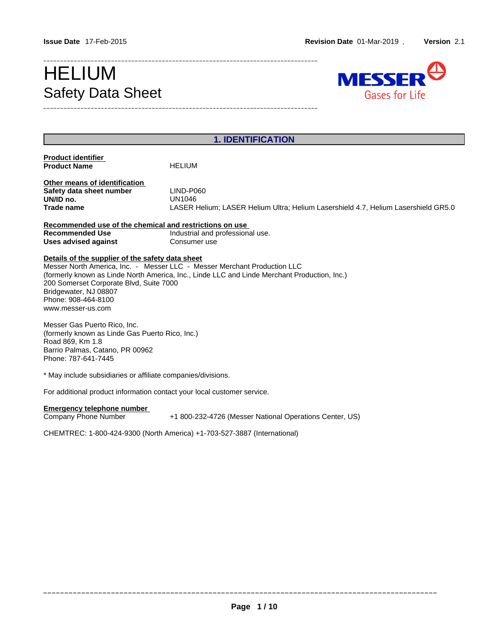# Safety Data Sheet



| <b>HELIUM</b><br>LIND-P060<br><b>UN1046</b><br>LASER Helium; LASER Helium Ultra; Helium Lasershield 4.7, Helium Lasershield GR5.0<br>Recommended use of the chemical and restrictions on use<br>Industrial and professional use.<br>Consumer use                       |
|------------------------------------------------------------------------------------------------------------------------------------------------------------------------------------------------------------------------------------------------------------------------|
|                                                                                                                                                                                                                                                                        |
|                                                                                                                                                                                                                                                                        |
|                                                                                                                                                                                                                                                                        |
|                                                                                                                                                                                                                                                                        |
|                                                                                                                                                                                                                                                                        |
|                                                                                                                                                                                                                                                                        |
|                                                                                                                                                                                                                                                                        |
| Messer North America, Inc. - Messer LLC - Messer Merchant Production LLC<br>(formerly known as Linde North America, Inc., Linde LLC and Linde Merchant Production, Inc.)<br>200 Somerset Corporate Blvd, Suite 7000<br>(formerly known as Linde Gas Puerto Rico, Inc.) |
| * May include subsidiaries or affiliate companies/divisions.                                                                                                                                                                                                           |
| For additional product information contact your local customer service.                                                                                                                                                                                                |
| +1 800-232-4726 (Messer National Operations Center, US)                                                                                                                                                                                                                |
| CHEMTREC: 1-800-424-9300 (North America) +1-703-527-3887 (International)                                                                                                                                                                                               |
| Details of the supplier of the safety data sheet                                                                                                                                                                                                                       |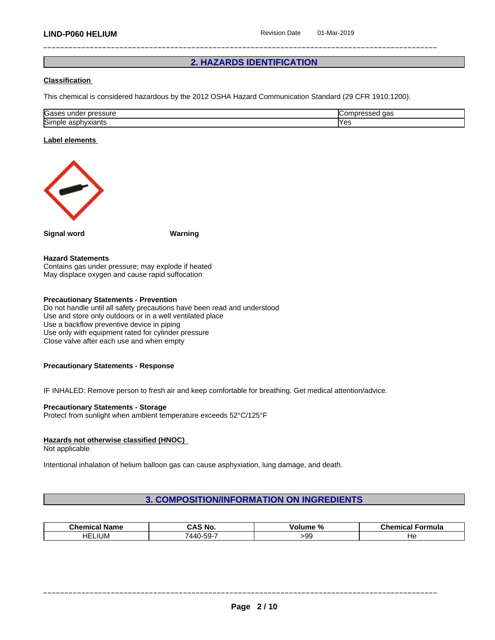# **2. HAZARDS IDENTIFICATION**

# **Classification**

This chemical is considered hazardous by the 2012 OSHA Hazard Communication Standard (29 CFR 1910.1200).

| Gases<br><br>pressure<br>unae<br>555U G                        | $\sim$<br>∪or<br>uas |
|----------------------------------------------------------------|----------------------|
| <b>Simi</b><br>$\sim$ by a signal $\sim$<br>aspnyxiants<br>ነነር | <b>Yes</b>           |

## **Label elements**



**Signal word Warning**

#### **Hazard Statements**

Contains gas under pressure; may explode if heated May displace oxygen and cause rapid suffocation

# **Precautionary Statements - Prevention**

Do not handle until all safety precautions have been read and understood Use and store only outdoors or in a well ventilated place Use a backflow preventive device in piping Use only with equipment rated for cylinder pressure Close valve after each use and when empty

#### **Precautionary Statements - Response**

IF INHALED: Remove person to fresh air and keep comfortable for breathing. Get medical attention/advice.

#### **Precautionary Statements - Storage**

Protect from sunlight when ambient temperature exceeds 52°C/125°F

# **Hazards not otherwise classified (HNOC)**

Not applicable

Intentional inhalation of helium balloon gas can cause asphyxiation, lung damage, and death.

# **3. COMPOSITION/INFORMATION ON INGREDIENTS**

| .<br>' Name<br>Chemical | CAS<br>$\overline{\phantom{a}}$<br>ີ No. | .<br>.<br>olume<br>-70 | Formula<br>----<br>emica |
|-------------------------|------------------------------------------|------------------------|--------------------------|
| <b>IUM</b><br>HE        | $-2 -$<br>7440-59-<br>$\cdot$ .          | -aa<br>.               | - 19                     |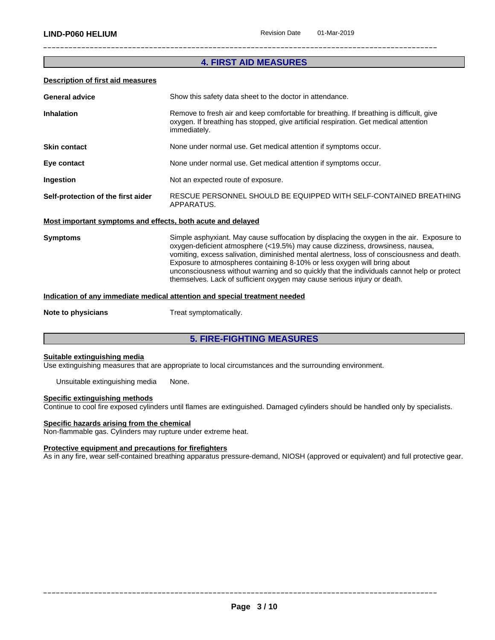# **4. FIRST AID MEASURES**

# **Description of first aid measures**

| <b>General advice</b>                                       | Show this safety data sheet to the doctor in attendance.                                                                                                                                        |
|-------------------------------------------------------------|-------------------------------------------------------------------------------------------------------------------------------------------------------------------------------------------------|
| <b>Inhalation</b>                                           | Remove to fresh air and keep comfortable for breathing. If breathing is difficult, give<br>oxygen. If breathing has stopped, give artificial respiration. Get medical attention<br>immediately. |
| <b>Skin contact</b>                                         | None under normal use. Get medical attention if symptoms occur.                                                                                                                                 |
| Eye contact                                                 | None under normal use. Get medical attention if symptoms occur.                                                                                                                                 |
| Ingestion                                                   | Not an expected route of exposure.                                                                                                                                                              |
| Self-protection of the first aider                          | RESCUE PERSONNEL SHOULD BE EQUIPPED WITH SELF-CONTAINED BREATHING<br>APPARATUS.                                                                                                                 |
| Most important symptoms and offects, both acute and delayed |                                                                                                                                                                                                 |

# **Most important symptoms and effects, both acute and delayed**

**Symptoms** Simple asphyxiant. May cause suffocation by displacing the oxygen in the air. Exposure to oxygen-deficient atmosphere (<19.5%) may cause dizziness, drowsiness, nausea, vomiting, excess salivation, diminished mental alertness, loss of consciousness and death. Exposure to atmospheres containing 8-10% or less oxygen will bring about unconsciousness without warning and so quickly that the individuals cannot help or protect themselves. Lack of sufficient oxygen may cause serious injury or death.

# **Indication of any immediate medical attention and special treatment needed**

**Note to physicians** Treat symptomatically.

# **5. FIRE-FIGHTING MEASURES**

#### **Suitable extinguishing media**

Use extinguishing measures that are appropriate to local circumstances and the surrounding environment.

Unsuitable extinguishing media None.

#### **Specific extinguishing methods**

Continue to cool fire exposed cylinders untilflames are extinguished. Damaged cylinders should be handled only by specialists.

# **Specific hazards arising from the chemical**

Non-flammable gas. Cylinders may rupture under extreme heat.

# **Protective equipment and precautions for firefighters**

As in any fire, wear self-contained breathing apparatus pressure-demand, NIOSH (approved or equivalent) and full protective gear.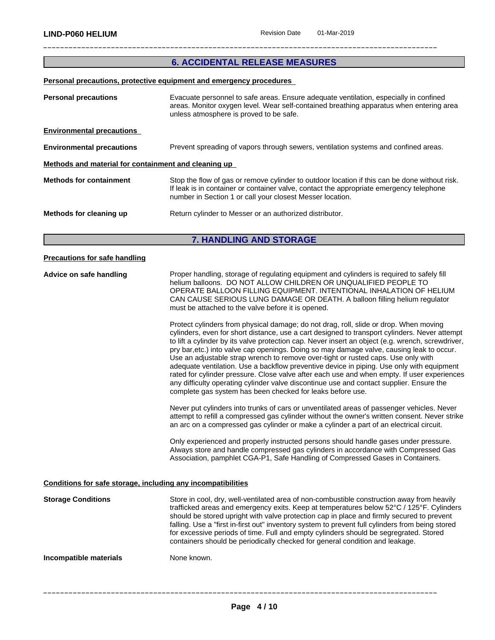# **6. ACCIDENTAL RELEASE MEASURES**

#### **Personal precautions, protective equipment and emergency procedures**

| <b>Personal precautions</b>                          | Evacuate personnel to safe areas. Ensure adequate ventilation, especially in confined<br>areas. Monitor oxygen level. Wear self-contained breathing apparatus when entering area<br>unless atmosphere is proved to be safe.                           |
|------------------------------------------------------|-------------------------------------------------------------------------------------------------------------------------------------------------------------------------------------------------------------------------------------------------------|
| <b>Environmental precautions</b>                     |                                                                                                                                                                                                                                                       |
| <b>Environmental precautions</b>                     | Prevent spreading of vapors through sewers, ventilation systems and confined areas.                                                                                                                                                                   |
| Methods and material for containment and cleaning up |                                                                                                                                                                                                                                                       |
| <b>Methods for containment</b>                       | Stop the flow of gas or remove cylinder to outdoor location if this can be done without risk.<br>If leak is in container or container valve, contact the appropriate emergency telephone<br>number in Section 1 or call your closest Messer location. |
| Methods for cleaning up                              | Return cylinder to Messer or an authorized distributor.                                                                                                                                                                                               |
|                                                      |                                                                                                                                                                                                                                                       |

# **7. HANDLING AND STORAGE**

# **Precautions for safe handling Advice on safe handling** Proper handling, storage of regulating equipment and cylinders is required to safely fill helium balloons. DO NOT ALLOW CHILDREN OR UNQUALIFIED PEOPLE TO OPERATE BALLOON FILLING EQUIPMENT. INTENTIONAL INHALATION OF HELIUM CAN CAUSE SERIOUS LUNG DAMAGE OR DEATH. A balloon filling helium regulator must be attached to the valve before it is opened. Protect cylinders from physical damage; do not drag, roll, slide or drop. When moving cylinders, even for short distance, use a cart designed to transport cylinders. Never attempt to lift a cylinder by its valve protection cap. Never insert an object (e.g. wrench, screwdriver, pry bar,etc.) into valve cap openings. Doing so may damage valve, causing leak to occur. Use an adjustable strap wrench to remove over-tight or rusted caps. Use only with adequate ventilation. Use a backflow preventive device in piping. Use only with equipment rated for cylinder pressure. Close valve after each use and when empty. If user experiences any difficulty operating cylinder valve discontinue use and contact supplier. Ensure the complete gas system has been checked for leaks before use. Never put cylinders into trunks of cars or unventilated areas of passenger vehicles. Never attempt to refill a compressed gas cylinder without the owner's written consent. Never strike an arc on a compressed gas cylinder or make a cylinder a part of an electrical circuit. Only experienced and properly instructed persons should handle gases under pressure. Always store and handle compressed gas cylinders in accordance with Compressed Gas Association, pamphlet CGA-P1, Safe Handling of Compressed Gases in Containers. **Conditions for safe storage, including any incompatibilities Storage Conditions** Store in cool, dry, well-ventilated area of non-combustible construction away from heavily trafficked areas and emergency exits. Keep at temperatures below 52°C / 125°F. Cylinders should be stored upright with valve protection cap in place and firmly secured to prevent falling. Use a "first in-first out" inventory system to prevent full cylinders from being stored for excessive periods of time. Full and empty cylinders should be segregrated. Stored containers should be periodically checked for general condition and leakage. **Incompatible materials** None known.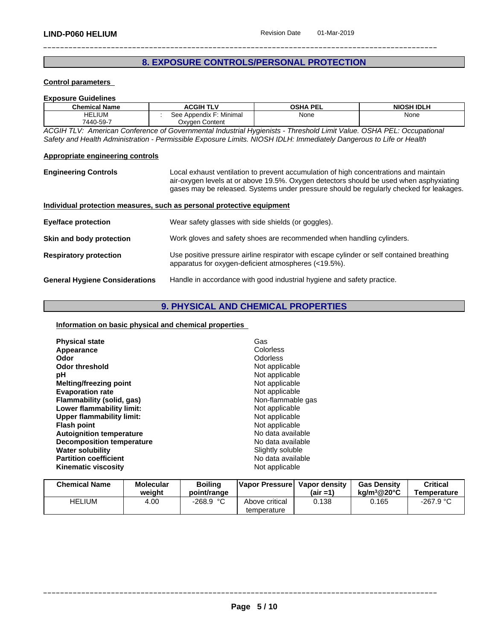# **8. EXPOSURE CONTROLS/PERSONAL PROTECTION**

# **Control parameters**

# **Exposure Guidelines**

| <b>Chemical Name</b> | <b>ACGIH TLV</b>                                     | <b>OSHA PEL</b><br>−⊏∟ | <b>NIOSH IDLH</b> |
|----------------------|------------------------------------------------------|------------------------|-------------------|
| ELIUM<br>HEı         | Minimar<br>Appendix<br>ء -<br><u>JGG </u>            | None                   | None              |
| 7440-59-7            | $\overline{\phantom{0}}$<br>Content<br>Jxvaen C<br>. |                        |                   |

*ACGIH TLV: American Conference of Governmental Industrial Hygienists - Threshold Limit Value. OSHA PEL: Occupational* Safety and Health Administration - Permissible Exposure Limits. NIOSH IDLH: Immediately Dangerous to Life or Health

#### **Appropriate engineering controls**

**Engineering Controls** Local exhaust ventilation to prevent accumulation of high concentrations and maintain air-oxygen levels at or above 19.5%. Oxygen detectors should be used when asphyxiating gases may be released. Systems under pressure should be regularly checked for leakages.

# **Individual protection measures, such as personal protective equipment**

| Eye/face protection                   | Wear safety glasses with side shields (or goggles).                                                                                               |
|---------------------------------------|---------------------------------------------------------------------------------------------------------------------------------------------------|
| Skin and body protection              | Work gloves and safety shoes are recommended when handling cylinders.                                                                             |
| <b>Respiratory protection</b>         | Use positive pressure airline respirator with escape cylinder or self contained breathing<br>apparatus for oxygen-deficient atmospheres (<19.5%). |
| <b>General Hygiene Considerations</b> | Handle in accordance with good industrial hygiene and safety practice.                                                                            |

# **9. PHYSICAL AND CHEMICAL PROPERTIES**

# **Information on basic physical and chemical properties**

| <b>Physical state</b>            | Gas               |
|----------------------------------|-------------------|
| Appearance                       | Colorless         |
| Odor                             | Odorless          |
| <b>Odor threshold</b>            | Not applicable    |
| рH                               | Not applicable    |
| Melting/freezing point           | Not applicable    |
| <b>Evaporation rate</b>          | Not applicable    |
| Flammability (solid, gas)        | Non-flammable gas |
| Lower flammability limit:        | Not applicable    |
| <b>Upper flammability limit:</b> | Not applicable    |
| <b>Flash point</b>               | Not applicable    |
| <b>Autoignition temperature</b>  | No data available |
| <b>Decomposition temperature</b> | No data available |
| <b>Water solubility</b>          | Slightly soluble  |
| <b>Partition coefficient</b>     | No data available |
| <b>Kinematic viscosity</b>       | Not applicable    |

| <b>Chemical Name</b> | <b>Molecular</b><br>weiaht | <b>Boiling</b><br>point/range | Vapor Pressurel | Vapor density<br>$(air = 1)$ | <b>Gas Density</b><br>ka/m $3@20^{\circ}$ C | <b>Critical</b><br>Temperature |
|----------------------|----------------------------|-------------------------------|-----------------|------------------------------|---------------------------------------------|--------------------------------|
| <b>HELIUM</b>        | 4.00                       | $-268.9 °C$                   | Above critical  | 0.138                        | .165                                        | $-267.9 °C$                    |
|                      |                            |                               | temperature     |                              |                                             |                                |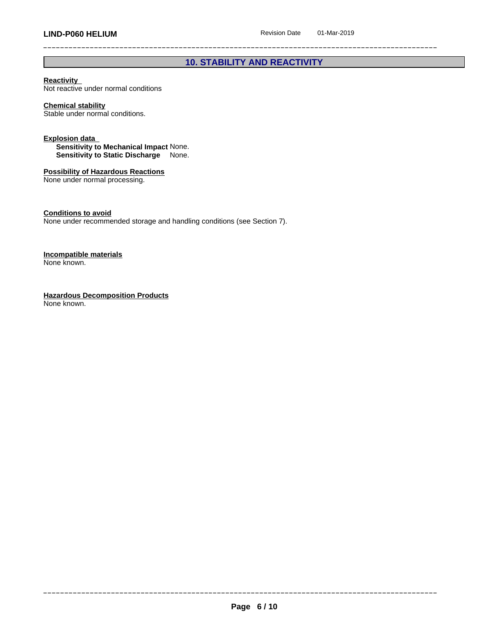# **10. STABILITY AND REACTIVITY**

# **Reactivity**

Not reactive under normal conditions

# **Chemical stability**

Stable under normal conditions.

#### **Explosion data**

**Sensitivity to Mechanical Impact** None. **Sensitivity to Static Discharge** None.

# **Possibility of Hazardous Reactions**

None under normal processing.

# **Conditions to avoid**

None under recommended storage and handling conditions (see Section 7).

#### **Incompatible materials** None known.

**Hazardous Decomposition Products** None known.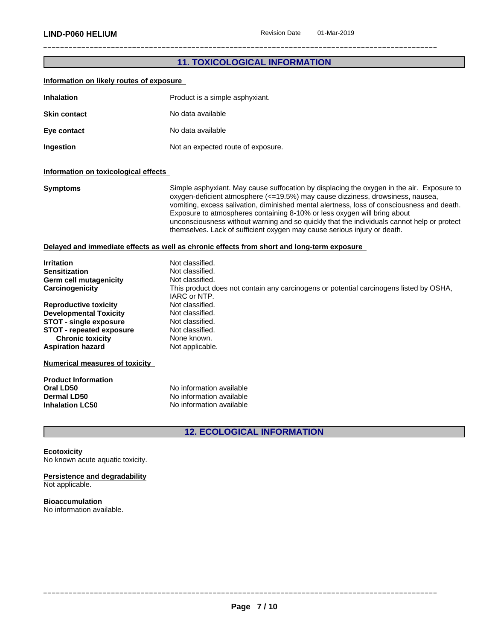# \_\_\_\_\_\_\_\_\_\_\_\_\_\_\_\_\_\_\_\_\_\_\_\_\_\_\_\_\_\_\_\_\_\_\_\_\_\_\_\_\_\_\_\_\_\_\_\_\_\_\_\_\_\_\_\_\_\_\_\_\_\_\_\_\_\_\_\_\_\_\_\_\_\_\_\_\_\_\_\_\_\_\_\_\_\_\_\_\_\_\_\_\_ **LIND-P060 HELIUM** Revision Date 01-Mar-2019 **11. TOXICOLOGICAL INFORMATION Information on likely routes of exposure Inhalation** Product is a simple asphyxiant. **Skin contact** No data available **Eye contact** No data available **Ingestion** Not an expected route of exposure. **Information on toxicological effects Symptoms** Simple asphyxiant. May cause suffocation by displacing the oxygen in the air. Exposure to oxygen-deficient atmosphere (<=19.5%) may cause dizziness, drowsiness, nausea, vomiting, excess salivation, diminished mental alertness, loss of consciousness and death. Exposure to atmospheres containing 8-10% or less oxygen will bring about unconsciousness without warning and so quickly that the individuals cannot help or protect themselves. Lack of sufficient oxygen may cause serious injury or death.**Delayed and immediate effects as well as chronic effects from short and long-term exposure Irritation**<br> **I**rritation<br> **Sensitization**<br> **I** Not classified. Not classified.<br>Not classified. **Germ cell mutagenicity**<br>**Carcinogenicity** This product does not contain any carcinogens or potential carcinogens listed by OSHA, IARC or NTP. **Reproductive toxicity** Not classified. **Developmental Toxicity** Not classified. **STOT** - single exposure<br> **STOT** - repeated exposure<br>
Not classified. **STOT** - **repeated exposure** Not classified<br> **Chronic toxicity** None known. **Chronic toxicity None known.**<br> **Not applicable.** Not applicable. **Aspiration hazard Numerical measures of toxicity Product Information Oral LD50** No information available **Dermal LD50** No information available

# **12. ECOLOGICAL INFORMATION**

**Ecotoxicity** No known acute aquatic toxicity.

**Inhalation LC50** No information available

#### **Persistence and degradability** Not applicable.

**Bioaccumulation** No information available.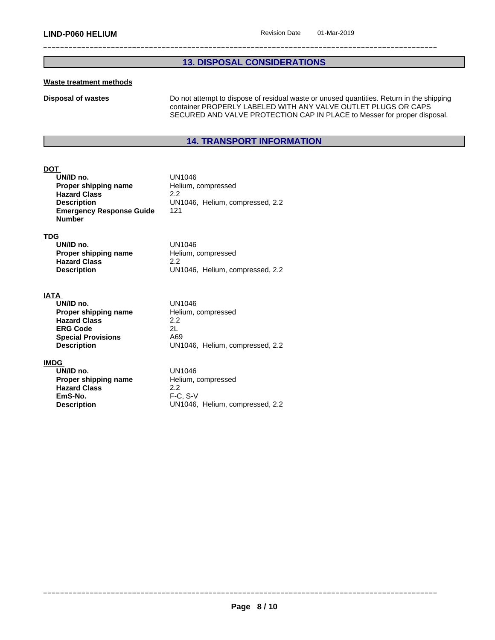# **13. DISPOSAL CONSIDERATIONS**

# **Waste treatment methods**

**Disposal of wastes Do not attempt to dispose of residual waste or unused quantities. Return in the shipping** container PROPERLY LABELED WITH ANY VALVE OUTLET PLUGS OR CAPS SECURED AND VALVE PROTECTION CAP IN PLACE to Messer for proper disposal.

# **14. TRANSPORT INFORMATION**

# **DOT**

| UN/ID no.                       | UN1046                  |
|---------------------------------|-------------------------|
| Proper shipping name            | Helium, compressed      |
| <b>Hazard Class</b>             | 22                      |
| <b>Description</b>              | UN1046, Helium, compres |
| <b>Emergency Response Guide</b> | 121                     |
| Number                          |                         |

# **TDG**

| UN/ID no.            | UN1046                          |
|----------------------|---------------------------------|
| Proper shipping name | Helium, compressed              |
| <b>Hazard Class</b>  | 2.2                             |
| <b>Description</b>   | UN1046, Helium, compressed, 2.2 |

# **IATA**

| UN/ID no.                 | UN1046                          |
|---------------------------|---------------------------------|
| Proper shipping name      | Helium, compressed              |
| <b>Hazard Class</b>       | 2.2                             |
| <b>ERG Code</b>           | 2L                              |
| <b>Special Provisions</b> | A69                             |
| <b>Description</b>        | UN1046, Helium, compressed, 2.2 |

UN1046, Helium, compressed, 2.2

# **IMDG**

**UN/ID no.**<br> **Proper shipping name** Helium, compressed **Proper shipping name Hazard Class** 2.2<br> **EmS-No.** F-C **EmS-No.** F-C, S-V<br>**Description** UN1046,

UN1046, Helium, compressed, 2.2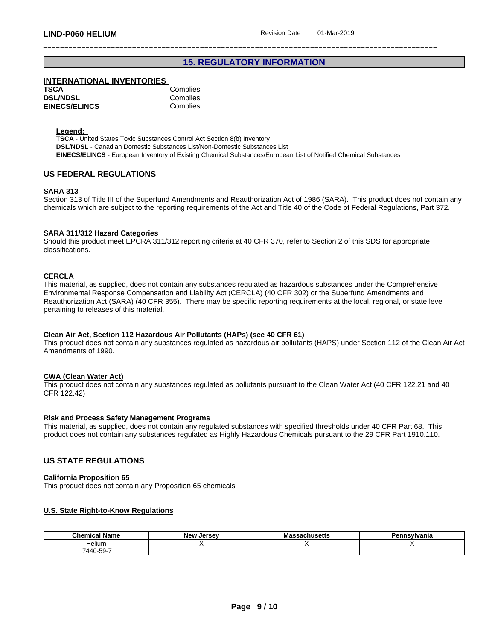# **15. REGULATORY INFORMATION**

# **INTERNATIONAL INVENTORIES**

| TSCA                 | Complies |
|----------------------|----------|
| <b>DSL/NDSL</b>      | Complies |
| <b>EINECS/ELINCS</b> | Complies |

# **Legend:**

**TSCA** - United States Toxic Substances Control Act Section 8(b) Inventory **DSL/NDSL** - Canadian Domestic Substances List/Non-Domestic Substances List **EINECS/ELINCS** - European Inventory of Existing Chemical Substances/European List of Notified Chemical Substances

# **US FEDERAL REGULATIONS**

## **SARA 313**

Section 313 of Title III of the Superfund Amendments and Reauthorization Act of 1986 (SARA). This product does not contain any chemicals which are subject to the reporting requirements of the Act and Title 40 of the Code of Federal Regulations, Part 372.

#### **SARA 311/312 Hazard Categories**

Should this product meet EPCRA 311/312 reporting criteria at 40 CFR 370, refer to Section 2 of this SDS for appropriate classifications.

# **CERCLA**

This material, as supplied, does not contain any substances regulated as hazardous substances under the Comprehensive Environmental Response Compensation and Liability Act (CERCLA) (40 CFR 302) or the Superfund Amendments and Reauthorization Act (SARA) (40 CFR 355). There may be specific reporting requirements at the local, regional, or state level pertaining to releases of this material.

#### **Clean Air Act,Section 112 Hazardous Air Pollutants (HAPs) (see 40 CFR 61)**

This product does not contain any substances regulated as hazardous air pollutants (HAPS) under Section 112 of the Clean Air Act Amendments of 1990.

### **CWA** (Clean Water Act)

This product does not contain any substances regulated as pollutants pursuant to the Clean Water Act (40 CFR 122.21 and 40 CFR 122.42)

#### **Risk and Process Safety Management Programs**

This material, as supplied, does not contain any regulated substances with specified thresholds under 40 CFR Part 68. This product does not contain any substances regulated as Highly Hazardous Chemicals pursuant to the 29 CFR Part 1910.110.

# **US STATE REGULATIONS**

#### **California Proposition 65**

This product does not contain any Proposition 65 chemicals

#### **U.S. State Right-to-Know Regulations**

| <b>Chemical Name</b> | New<br><b>Jersey</b> | issachusetts<br>ша | ∍.<br>ั∽ <u>∾</u> ∪vania |
|----------------------|----------------------|--------------------|--------------------------|
| <br>Helium           |                      |                    |                          |
| $7440 - 59 - 1$      |                      |                    |                          |